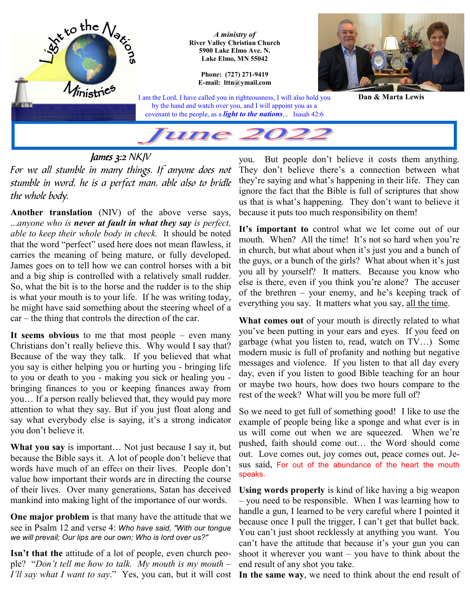

*For we all stumble in many things. If anyone does not stumble in word, he is a perfect man, able also to bridle the whole body.* 

**Another translation** (NIV) of the above verse says, ...*anyone who is never at fault in what they say is perfect, able to keep their whole body in check.* It should be noted that the word "perfect" used here does not mean flawless, it carries the meaning of being mature, or fully developed. James goes on to tell how we can control horses with a bit and a big ship is controlled with a relatively small rudder. So, what the bit is to the horse and the rudder is to the ship is what your mouth is to your life. If he was writing today, he might have said something about the steering wheel of a car – the thing that controls the direction of the car.

**It seems obvious** to me that most people – even many Christians don't really believe this. Why would I say that? Because of the way they talk. If you believed that what you say is either helping you or hurting you - bringing life to you or death to you - making you sick or healing you bringing finances to you or keeping finances away from you… If a person really believed that, they would pay more attention to what they say. But if you just float along and say what everybody else is saying, it's a strong indicator you don't believe it.

**What you say** is important… Not just because I say it, but because the Bible says it. A lot of people don't believe that words have much of an effect on their lives. People don't value how important their words are in directing the course of their lives. Over many generations, Satan has deceived mankind into making light of the importance of our words.

**One major problem** is that many have the attitude that we see in Psalm 12 and verse 4: *Who have said, "With our tongue we will prevail; Our lips are our own; Who is lord over us?"* 

**Isn't that the** attitude of a lot of people, even church people? "*Don't tell me how to talk. My mouth is my mouth – I'll say what I want to say*." Yes, you can, but it will cost

you. But people don't believe it costs them anything. They don't believe there's a connection between what they're saying and what's happening in their life. They can ignore the fact that the Bible is full of scriptures that show us that is what's happening. They don't want to believe it because it puts too much responsibility on them!

It's important to control what we let come out of our mouth. When? All the time! It's not so hard when you're in church, but what about when it's just you and a bunch of the guys, or a bunch of the girls? What about when it's just you all by yourself? It matters. Because you know who else is there, even if you think you're alone? The accuser of the brethren – your enemy, and he's keeping track of everything you say. It matters what you say, all the time.

**What comes out** of your mouth is directly related to what you've been putting in your ears and eyes. If you feed on garbage (what you listen to, read, watch on TV…) Some modern music is full of profanity and nothing but negative messages and violence. If you listen to that all day every day, even if you listen to good Bible teaching for an hour or maybe two hours, how does two hours compare to the rest of the week? What will you be more full of?

So we need to get full of something good! I like to use the example of people being like a sponge and what ever is in us will come out when we are squeezed. When we're pushed, faith should come out… the Word should come out. Love comes out, joy comes out, peace comes out. Jesus said, For out of the abundance of the heart the mouth speaks.

**Using words properly** is kind of like having a big weapon – you need to be responsible. When I was learning how to handle a gun, I learned to be very careful where I pointed it because once I pull the trigger, I can't get that bullet back. You can't just shoot recklessly at anything you want. You can't have the attitude that because it's your gun you can shoot it wherever you want – you have to think about the end result of any shot you take.

**In the same way**, we need to think about the end result of